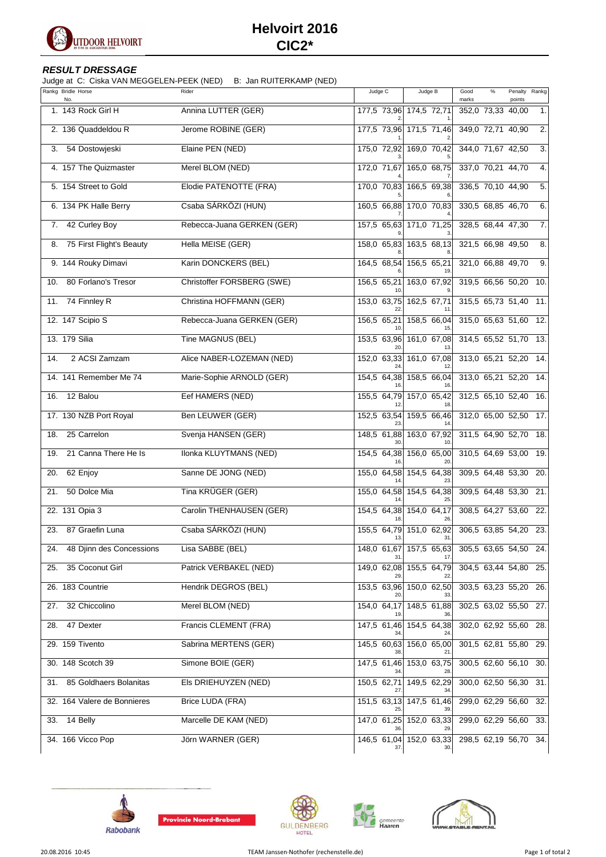

## **Helvoirt 2016 CIC2\***

## **RESULT DRESSAGE**

Judge at C: Ciska VAN MEGGELEN-PEEK (NED) B: Jan RUITERKAMP (NED)

| Rankg Bridle Horse<br>No.       | Rider                      | Judge C            | Judge B                        | Good<br>marks         | $\%$ | Penalty Rankg<br>points |     |
|---------------------------------|----------------------------|--------------------|--------------------------------|-----------------------|------|-------------------------|-----|
| 1. 143 Rock Girl H              | Annina LUTTER (GER)        |                    | 177,5 73,96 174,5 72,71        | 352,0 73,33 40,00     |      |                         | 1.  |
| 2. 136 Quaddeldou R             | Jerome ROBINE (GER)        |                    | 177,5 73,96 171,5 71,46        | 349,0 72,71 40,90     |      |                         | 2.  |
| 54 Dostowjeski<br>3.            | Elaine PEN (NED)           |                    | 175,0 72,92 169,0 70,42        | 344,0 71,67 42,50     |      |                         | 3.  |
| 4. 157 The Quizmaster           | Merel BLOM (NED)           |                    | 172,0 71,67 165,0 68,75        | 337,0 70,21 44,70     |      |                         | 4.  |
| 5. 154 Street to Gold           | Elodie PATENOTTE (FRA)     | 170,0 70,83        | 166,5 69,38                    | 336,5 70,10 44,90     |      |                         | 5.  |
| 6. 134 PK Halle Berry           | Csaba SÁRKÖZI (HUN)        |                    | 160,5 66,88 170,0 70,83        | 330,5 68,85 46,70     |      |                         | 6.  |
| 42 Curley Boy<br>7.             | Rebecca-Juana GERKEN (GER) |                    | 157,5 65,63 171,0 71,25        | 328,5 68,44 47,30     |      |                         | 7.  |
| 75 First Flight's Beauty<br>8.  | Hella MEISE (GER)          | 158,0 65,83        | 163,5 68,13                    | 321,5 66,98 49,50     |      |                         | 8.  |
| 9. 144 Rouky Dimavi             | Karin DONCKERS (BEL)       | 164,5 68,54        | 156,5 65,21<br>19              | 321,0 66,88 49,70     |      |                         | 9.  |
| 80 Forlano's Tresor<br>10.      | Christoffer FORSBERG (SWE) | 156,5 65,21        | 163,0 67,92                    | 319,5 66,56 50,20     |      |                         | 10. |
| 74 Finnley R<br>11.             | Christina HOFFMANN (GER)   |                    | 153,0 63,75 162,5 67,71<br>11  | 315,5 65,73 51,40     |      |                         | 11. |
| 12. 147 Scipio S                | Rebecca-Juana GERKEN (GER) | 156,5 65,21        | 158,5 66,04                    | 315,0 65,63 51,60     |      |                         | 12. |
| 13. 179 Silia                   | Tine MAGNUS (BEL)          | 153,5 63,96        | 161,0 67,08                    | 314,5 65,52 51,70     |      |                         | 13. |
| 2 ACSI Zamzam<br>14.            | Alice NABER-LOZEMAN (NED)  | 152,0 63,33        | 161,0 67,08                    | 313,0 65,21 52,20     |      |                         | 14. |
| 14. 141 Remember Me 74          | Marie-Sophie ARNOLD (GER)  | 154,5 64,38        | 158,5 66,04                    | 313,0 65,21 52,20     |      |                         | 14. |
| 12 Balou<br>16.                 | Eef HAMERS (NED)           | 155,5 64,79        | 157,0 65,42                    | 312,5 65,10 52,40     |      |                         | 16. |
| 17. 130 NZB Port Royal          | Ben LEUWER (GER)           | 152,5 63,54<br>23  | 159,5 66,46                    | 312,0 65,00 52,50     |      |                         | 17. |
| 25 Carrelon<br>18.              | Svenja HANSEN (GER)        | 148,5 61,88<br>30  | 163,0 67,92<br>10.             | 311,5 64,90 52,70     |      |                         | 18. |
| 21 Canna There He Is<br>19.     | Ilonka KLUYTMANS (NED)     | 154,5 64,38        | 156,0 65,00                    | 310,5 64,69 53,00     |      |                         | 19. |
| 62 Enjoy<br>20.                 | Sanne DE JONG (NED)        | 155,0 64,58<br>14  | 154,5 64,38<br>23.             | 309,5 64,48 53,30     |      |                         | 20. |
| 50 Dolce Mia<br>21.             | Tina KRÜGER (GER)          | 155,0 64,58        | 154,5 64,38<br>25              | 309,5 64,48 53,30     |      |                         | 21. |
| 22. 131 Opia 3                  | Carolin THENHAUSEN (GER)   | 154,5 64,38        | 154,0 64,17<br>26.             | 308,5 64,27 53,60     |      |                         | 22. |
| 87 Graefin Luna<br>23.          | Csaba SÁRKÖZI (HUN)        | 155,5 64,79<br>13. | $151,0$ 62,92<br>31            | 306,5 63,85 54,20     |      |                         | 23. |
| 48 Djinn des Concessions<br>24. | Lisa SABBE (BEL)           |                    | 148,0 61,67 157,5 65,63        | 305,5 63,65 54,50 24. |      |                         |     |
| 35 Coconut Girl<br>25.          | Patrick VERBAKEL (NED)     |                    | 149,0 62,08 155,5 64,79        | 304,5 63,44 54,80     |      |                         | 25. |
| 26. 183 Countrie                | Hendrik DEGROS (BEL)       |                    | 153,5 63,96 150,0 62,50        | 303,5 63,23 55,20 26. |      |                         |     |
| 32 Chiccolino<br>27.            | Merel BLOM (NED)           |                    | 154,0 64,17 148,5 61,88        | 302,5 63,02 55,50 27. |      |                         |     |
| 47 Dexter<br>28.                | Francis CLEMENT (FRA)      |                    | 147,5 61,46 154,5 64,38        | 302,0 62,92 55,60 28. |      |                         |     |
| 29. 159 Tivento                 | Sabrina MERTENS (GER)      |                    | 145,5 60,63 156,0 65,00        | 301,5 62,81 55,80 29. |      |                         |     |
| 30. 148 Scotch 39               | Simone BOIE (GER)          |                    | 147,5 61,46 153,0 63,75        | 300,5 62,60 56,10 30. |      |                         |     |
| 85 Goldhaers Bolanitas<br>31.   | Els DRIEHUYZEN (NED)       | 150,5 62,71        | 149,5 62,29                    | 300,0 62,50 56,30 31. |      |                         |     |
| 32. 164 Valere de Bonnieres     | <b>Brice LUDA (FRA)</b>    |                    | 151,5 63,13 147,5 61,46        | 299,0 62,29 56,60 32. |      |                         |     |
| 14 Belly<br>33.                 | Marcelle DE KAM (NED)      |                    | 147,0 61,25 152,0 63,33        | 299,0 62,29 56,60 33. |      |                         |     |
| 34. 166 Vicco Pop               | Jörn WARNER (GER)          |                    | 146,5 61,04 152,0 63,33<br>30. | 298,5 62,19 56,70 34. |      |                         |     |